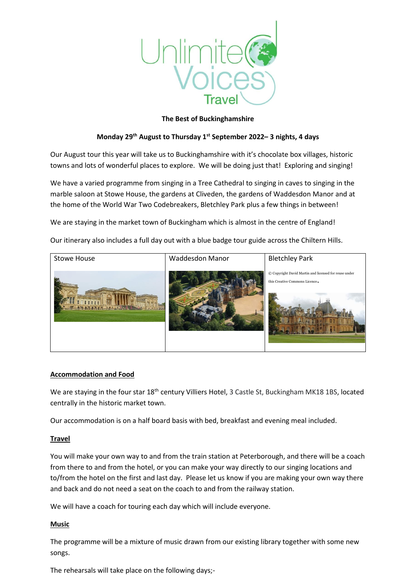

### **The Best of Buckinghamshire**

## **Monday 29th August to Thursday 1st September 2022– 3 nights, 4 days**

Our August tour this year will take us to Buckinghamshire with it's chocolate box villages, historic towns and lots of wonderful places to explore. We will be doing just that! Exploring and singing!

We have a varied programme from singing in a Tree Cathedral to singing in caves to singing in the marble saloon at Stowe House, the gardens at Cliveden, the gardens of Waddesdon Manor and at the home of the World War Two Codebreakers, Bletchley Park plus a few things in between!

We are staying in the market town of Buckingham which is almost in the centre of England!

Our itinerary also includes a full day out with a blue badge tour guide across the Chiltern Hills.



#### **Accommodation and Food**

We are staying in the four star 18<sup>th</sup> century Villiers Hotel, 3 Castle St, Buckingham MK18 1BS, located centrally in the historic market town.

Our accommodation is on a half board basis with bed, breakfast and evening meal included.

#### **Travel**

You will make your own way to and from the train station at Peterborough, and there will be a coach from there to and from the hotel, or you can make your way directly to our singing locations and to/from the hotel on the first and last day. Please let us know if you are making your own way there and back and do not need a seat on the coach to and from the railway station.

We will have a coach for touring each day which will include everyone.

#### **Music**

The programme will be a mixture of music drawn from our existing library together with some new songs.

The rehearsals will take place on the following days;-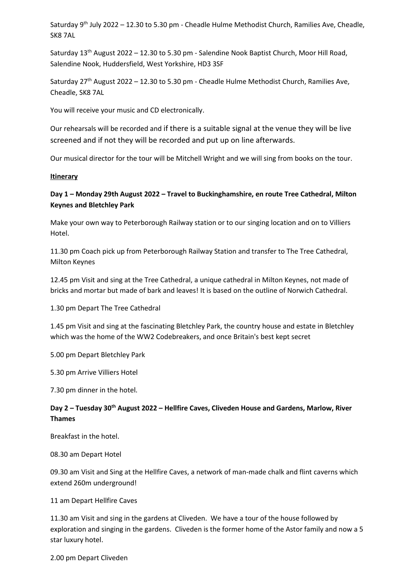Saturday 9<sup>th</sup> July 2022 - 12.30 to 5.30 pm - Cheadle Hulme Methodist Church, Ramilies Ave, Cheadle, SK8 7AL

Saturday  $13<sup>th</sup>$  August 2022 – 12.30 to 5.30 pm - Salendine Nook Baptist Church, Moor Hill Road, Salendine Nook, Huddersfield, West Yorkshire, HD3 3SF

Saturday  $27<sup>th</sup>$  August 2022 – 12.30 to 5.30 pm - Cheadle Hulme Methodist Church, Ramilies Ave, Cheadle, SK8 7AL

You will receive your music and CD electronically.

Our rehearsals will be recorded and if there is a suitable signal at the venue they will be live screened and if not they will be recorded and put up on line afterwards.

Our musical director for the tour will be Mitchell Wright and we will sing from books on the tour.

#### **Itinerary**

# **Day 1 – Monday 29th August 2022 – Travel to Buckinghamshire, en route Tree Cathedral, Milton Keynes and Bletchley Park**

Make your own way to Peterborough Railway station or to our singing location and on to Villiers Hotel.

11.30 pm Coach pick up from Peterborough Railway Station and transfer to The Tree Cathedral, Milton Keynes

12.45 pm Visit and sing at the Tree Cathedral, a unique cathedral in Milton Keynes, not made of bricks and mortar but made of bark and leaves! It is based on the outline of Norwich Cathedral.

1.30 pm Depart The Tree Cathedral

1.45 pm Visit and sing at the fascinating Bletchley Park, the country house and estate in Bletchley which was the home of the WW2 Codebreakers, and once Britain's best kept secret

5.00 pm Depart Bletchley Park

5.30 pm Arrive Villiers Hotel

7.30 pm dinner in the hotel.

# **Day 2 – Tuesday 30th August 2022 – Hellfire Caves, Cliveden House and Gardens, Marlow, River Thames**

Breakfast in the hotel.

08.30 am Depart Hotel

09.30 am Visit and Sing at the Hellfire Caves, a network of man-made chalk and flint caverns which extend 260m underground!

11 am Depart Hellfire Caves

11.30 am Visit and sing in the gardens at Cliveden. We have a tour of the house followed by exploration and singing in the gardens. Cliveden is the former home of the Astor family and now a 5 star luxury hotel.

2.00 pm Depart Cliveden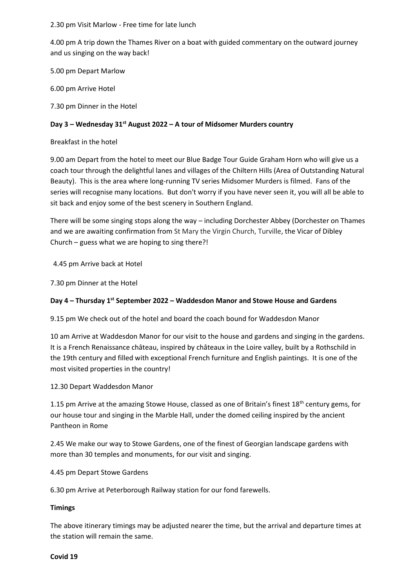2.30 pm Visit Marlow - Free time for late lunch

4.00 pm A trip down the Thames River on a boat with guided commentary on the outward journey and us singing on the way back!

5.00 pm Depart Marlow

6.00 pm Arrive Hotel

7.30 pm Dinner in the Hotel

# **Day 3 – Wednesday 31st August 2022 – A tour of Midsomer Murders country**

## Breakfast in the hotel

9.00 am Depart from the hotel to meet our Blue Badge Tour Guide Graham Horn who will give us a coach tour through the delightful lanes and villages of the Chiltern Hills (Area of Outstanding Natural Beauty). This is the area where long-running TV series Midsomer Murders is filmed. Fans of the series will recognise many locations. But don't worry if you have never seen it, you will all be able to sit back and enjoy some of the best scenery in Southern England.

There will be some singing stops along the way – including Dorchester Abbey (Dorchester on Thames and we are awaiting confirmation from St Mary the Virgin Church, Turville, the Vicar of Dibley Church – guess what we are hoping to sing there?!

4.45 pm Arrive back at Hotel

7.30 pm Dinner at the Hotel

## **Day 4 – Thursday 1st September 2022 – Waddesdon Manor and Stowe House and Gardens**

9.15 pm We check out of the hotel and board the coach bound for Waddesdon Manor

10 am Arrive at Waddesdon Manor for our visit to the house and gardens and singing in the gardens. It is a French Renaissance château, inspired by châteaux in the Loire valley, built by a Rothschild in the 19th century and filled with exceptional French furniture and English paintings. It is one of the most visited properties in the country!

## 12.30 Depart Waddesdon Manor

1.15 pm Arrive at the amazing Stowe House, classed as one of Britain's finest  $18<sup>th</sup>$  century gems, for our house tour and singing in the Marble Hall, under the domed ceiling inspired by the ancient Pantheon in Rome

2.45 We make our way to Stowe Gardens, one of the finest of Georgian landscape gardens with more than 30 temples and monuments, for our visit and singing.

4.45 pm Depart Stowe Gardens

6.30 pm Arrive at Peterborough Railway station for our fond farewells.

## **Timings**

The above itinerary timings may be adjusted nearer the time, but the arrival and departure times at the station will remain the same.

#### **Covid 19**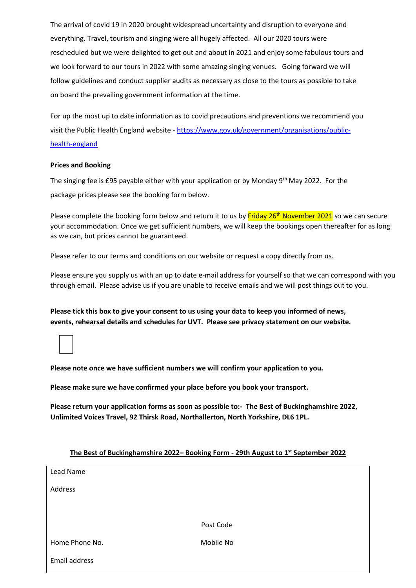The arrival of covid 19 in 2020 brought widespread uncertainty and disruption to everyone and everything. Travel, tourism and singing were all hugely affected. All our 2020 tours were rescheduled but we were delighted to get out and about in 2021 and enjoy some fabulous tours and we look forward to our tours in 2022 with some amazing singing venues. Going forward we will follow guidelines and conduct supplier audits as necessary as close to the tours as possible to take on board the prevailing government information at the time.

For up the most up to date information as to covid precautions and preventions we recommend you visit the Public Health England website - [https://www.gov.uk/government/organisations/public](https://www.gov.uk/government/organisations/public-health-england)[health-england](https://www.gov.uk/government/organisations/public-health-england)

#### **Prices and Booking**

The singing fee is £95 payable either with your application or by Monday 9<sup>th</sup> May 2022. For the package prices please see the booking form below.

Please complete the booking form below and return it to us by Friday 26<sup>th</sup> November 2021 so we can secure your accommodation. Once we get sufficient numbers, we will keep the bookings open thereafter for as long as we can, but prices cannot be guaranteed.

Please refer to our terms and conditions on our website or request a copy directly from us.

Please ensure you supply us with an up to date e-mail address for yourself so that we can correspond with you through email. Please advise us if you are unable to receive emails and we will post things out to you.

**Please tick this box to give your consent to us using your data to keep you informed of news, events, rehearsal details and schedules for UVT. Please see privacy statement on our website.** 

**Please note once we have sufficient numbers we will confirm your application to you.**

**Please make sure we have confirmed your place before you book your transport.**

**Please return your application forms as soon as possible to:- The Best of Buckinghamshire 2022, Unlimited Voices Travel, 92 Thirsk Road, Northallerton, North Yorkshire, DL6 1PL.** 

| Lead Name      |           |
|----------------|-----------|
| Address        |           |
|                |           |
|                |           |
|                | Post Code |
| Home Phone No. | Mobile No |
| Email address  |           |

# **The Best of Buckinghamshire 2022– Booking Form - 29th August to 1 st September 2022**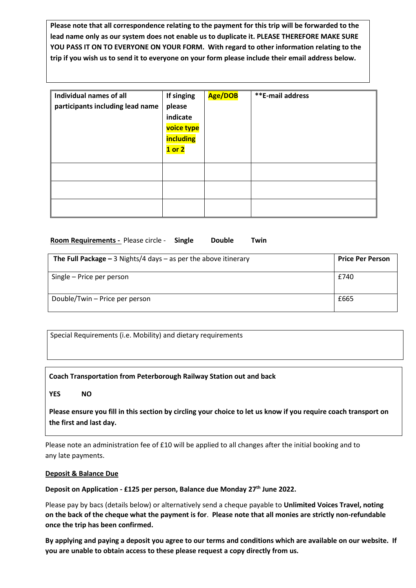**Please note that all correspondence relating to the payment for this trip will be forwarded to the lead name only as our system does not enable us to duplicate it. PLEASE THEREFORE MAKE SURE YOU PASS IT ON TO EVERYONE ON YOUR FORM. With regard to other information relating to the trip if you wish us to send it to everyone on your form please include their email address below.** 

| Individual names of all<br>participants including lead name | If singing<br>please<br>indicate<br>voice type<br>including<br>$1$ or $2$ | Age/DOB | <b>**E-mail address</b> |
|-------------------------------------------------------------|---------------------------------------------------------------------------|---------|-------------------------|
|                                                             |                                                                           |         |                         |
|                                                             |                                                                           |         |                         |
|                                                             |                                                                           |         |                         |

### **Room Requirements -** Please circle - **Single Double Twin**

| The Full Package $-$ 3 Nights/4 days $-$ as per the above itinerary | <b>Price Per Person</b> |
|---------------------------------------------------------------------|-------------------------|
| Single – Price per person                                           | £740                    |
| Double/Twin - Price per person                                      | £665                    |

Special Requirements (i.e. Mobility) and dietary requirements

**Coach Transportation from Peterborough Railway Station out and back**

**YES NO**

**Please ensure you fill in this section by circling your choice to let us know if you require coach transport on the first and last day.** 

Please note an administration fee of £10 will be applied to all changes after the initial booking and to any late payments.

#### **Deposit & Balance Due**

**Deposit on Application - £125 per person, Balance due Monday 27th June 2022.**

Please pay by bacs (details below) or alternatively send a cheque payable to **Unlimited Voices Travel, noting on the back of the cheque what the payment is for**. **Please note that all monies are strictly non-refundable once the trip has been confirmed.** 

**By applying and paying a deposit you agree to our terms and conditions which are available on our website. If you are unable to obtain access to these please request a copy directly from us.**